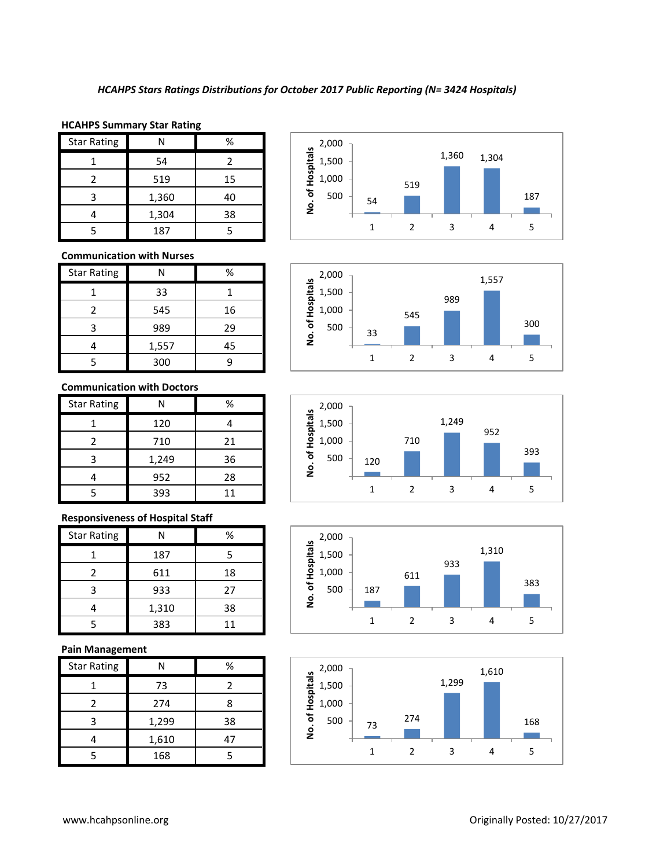#### **HCAHPS Summary Star Rating**

| <b>Star Rating</b> |       | %  |
|--------------------|-------|----|
|                    | 54    |    |
|                    | 519   | 15 |
| 3                  | 1,360 | 40 |
|                    | 1,304 | 38 |
|                    | 187   |    |

## **Communication with Nurses**

| <b>Star Rating</b> |       | %  |
|--------------------|-------|----|
|                    | 33    |    |
| 2                  | 545   | 16 |
| ੨                  | 989   | 29 |
|                    | 1,557 | 45 |
|                    | 300   |    |

## **Communication with Doctors**

| <b>Star Rating</b> | N     | %  |
|--------------------|-------|----|
|                    | 120   |    |
| 2                  | 710   | 21 |
| 3                  | 1,249 | 36 |
|                    | 952   | 28 |
|                    | 393   | 11 |

## **Responsiveness of Hospital Staff**

| <b>Star Rating</b> |       | %  |
|--------------------|-------|----|
|                    | 187   | 5  |
|                    | 611   | 18 |
| 3                  | 933   | 27 |
|                    | 1,310 | 38 |
|                    | 383   | 11 |

## **Pain Management**

| <b>Star Rating</b> | N     | %  |
|--------------------|-------|----|
|                    | 73    | 7  |
|                    | 274   | 8  |
| ੨                  | 1,299 | 38 |
|                    | 1,610 | 47 |
|                    | 168   |    |









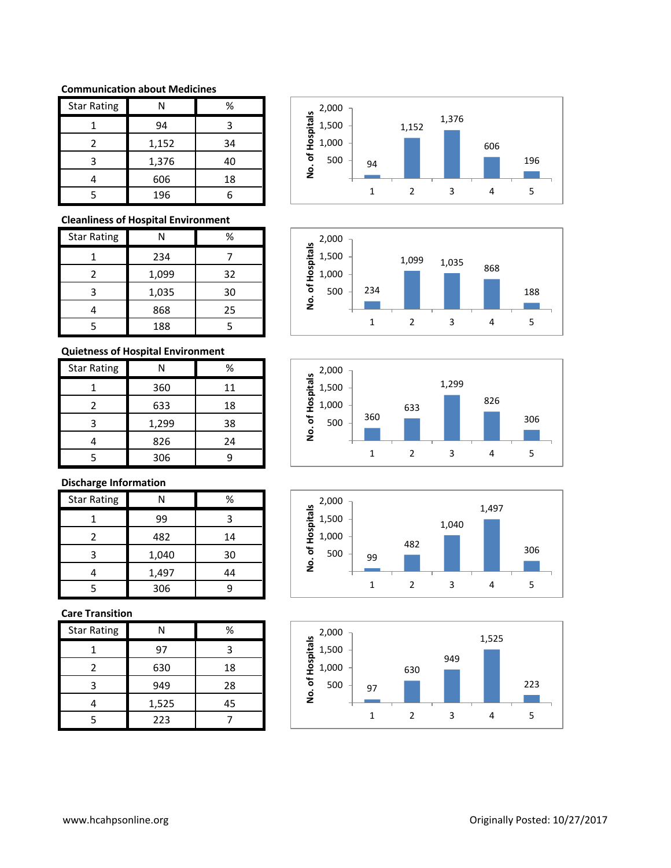## **Communication about Medicines**

| <b>Star Rating</b> | Ν     | %  |
|--------------------|-------|----|
|                    | 94    | 3  |
| 2                  | 1,152 | 34 |
| 3                  | 1,376 | 40 |
|                    | 606   | 18 |
|                    | 196   |    |

## **Cleanliness of Hospital Environment**

| <b>Star Rating</b> | N     | ℅  |
|--------------------|-------|----|
|                    | 234   |    |
| 2                  | 1,099 | 32 |
| 3                  | 1,035 | 30 |
|                    | 868   | 25 |
|                    | 188   |    |

# **Quietness of Hospital Environment**

| <b>Star Rating</b> |       | %  |
|--------------------|-------|----|
|                    | 360   | 11 |
| 2                  | 633   | 18 |
| 3                  | 1,299 | 38 |
|                    | 826   | 24 |
|                    | 306   |    |

# **Discharge Information**

| <b>Star Rating</b> | Ν     | %  |
|--------------------|-------|----|
|                    | 99    | 3  |
| 2                  | 482   | 14 |
| ₹                  | 1,040 | 30 |
|                    | 1,497 | 44 |
|                    | 306   | q  |

## **Care Transition**

| <b>Star Rating</b> | N     | %  |
|--------------------|-------|----|
|                    | 97    |    |
| 2                  | 630   | 18 |
| 3                  | 949   | 28 |
|                    | 1,525 | 45 |
|                    | 223   |    |